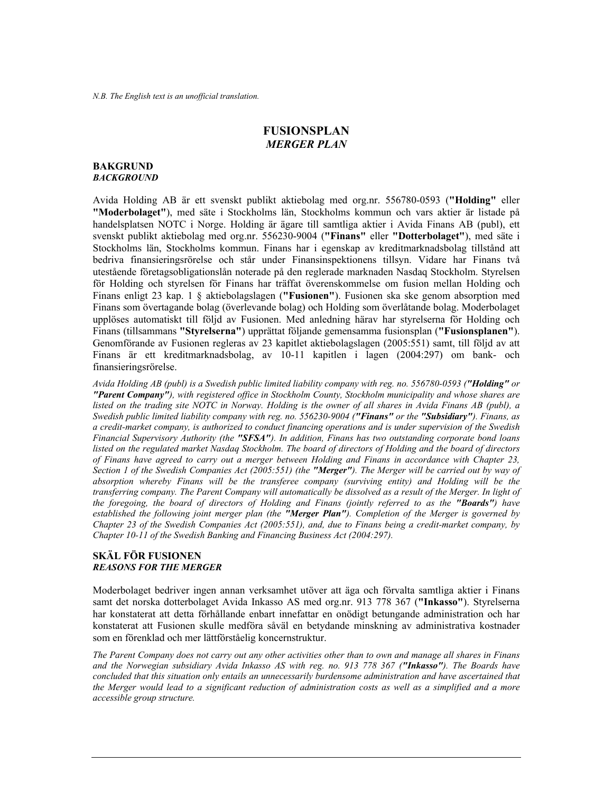# **FUSIONSPLAN**  *MERGER PLAN*

#### **BAKGRUND**  *BACKGROUND*

Avida Holding AB är ett svenskt publikt aktiebolag med org.nr. 556780-0593 (**"Holding"** eller **"Moderbolaget"**), med säte i Stockholms län, Stockholms kommun och vars aktier är listade på handelsplatsen NOTC i Norge. Holding är ägare till samtliga aktier i Avida Finans AB (publ), ett svenskt publikt aktiebolag med org.nr. 556230-9004 (**"Finans"** eller **"Dotterbolaget"**), med säte i Stockholms län, Stockholms kommun. Finans har i egenskap av kreditmarknadsbolag tillstånd att bedriva finansieringsrörelse och står under Finansinspektionens tillsyn. Vidare har Finans två utestående företagsobligationslån noterade på den reglerade marknaden Nasdaq Stockholm. Styrelsen för Holding och styrelsen för Finans har träffat överenskommelse om fusion mellan Holding och Finans enligt 23 kap. 1 § aktiebolagslagen (**"Fusionen"**). Fusionen ska ske genom absorption med Finans som övertagande bolag (överlevande bolag) och Holding som överlåtande bolag. Moderbolaget upplöses automatiskt till följd av Fusionen. Med anledning härav har styrelserna för Holding och Finans (tillsammans **"Styrelserna"**) upprättat följande gemensamma fusionsplan (**"Fusionsplanen"**). Genomförande av Fusionen regleras av 23 kapitlet aktiebolagslagen (2005:551) samt, till följd av att Finans är ett kreditmarknadsbolag, av 10-11 kapitlen i lagen (2004:297) om bank- och finansieringsrörelse.

*Avida Holding AB (publ) is a Swedish public limited liability company with reg. no. 556780-0593 ("Holding" or "Parent Company"), with registered office in Stockholm County, Stockholm municipality and whose shares are listed on the trading site NOTC in Norway. Holding is the owner of all shares in Avida Finans AB (publ), a Swedish public limited liability company with reg. no. 556230-9004 ("Finans" or the "Subsidiary"). Finans, as a credit-market company, is authorized to conduct financing operations and is under supervision of the Swedish Financial Supervisory Authority (the "SFSA"). In addition, Finans has two outstanding corporate bond loans listed on the regulated market Nasdaq Stockholm. The board of directors of Holding and the board of directors of Finans have agreed to carry out a merger between Holding and Finans in accordance with Chapter 23, Section 1 of the Swedish Companies Act (2005:551) (the "Merger"). The Merger will be carried out by way of absorption whereby Finans will be the transferee company (surviving entity) and Holding will be the transferring company. The Parent Company will automatically be dissolved as a result of the Merger. In light of the foregoing, the board of directors of Holding and Finans (jointly referred to as the "Boards") have established the following joint merger plan (the "Merger Plan"). Completion of the Merger is governed by Chapter 23 of the Swedish Companies Act (2005:551), and, due to Finans being a credit-market company, by Chapter 10-11 of the Swedish Banking and Financing Business Act (2004:297).* 

### **SKÄL FÖR FUSIONEN**  *REASONS FOR THE MERGER*

Moderbolaget bedriver ingen annan verksamhet utöver att äga och förvalta samtliga aktier i Finans samt det norska dotterbolaget Avida Inkasso AS med org.nr. 913 778 367 (**"Inkasso"**). Styrelserna har konstaterat att detta förhållande enbart innefattar en onödigt betungande administration och har konstaterat att Fusionen skulle medföra såväl en betydande minskning av administrativa kostnader som en förenklad och mer lättförståelig koncernstruktur.

*The Parent Company does not carry out any other activities other than to own and manage all shares in Finans and the Norwegian subsidiary Avida Inkasso AS with reg. no. 913 778 367 ("Inkasso"). The Boards have concluded that this situation only entails an unnecessarily burdensome administration and have ascertained that the Merger would lead to a significant reduction of administration costs as well as a simplified and a more accessible group structure.*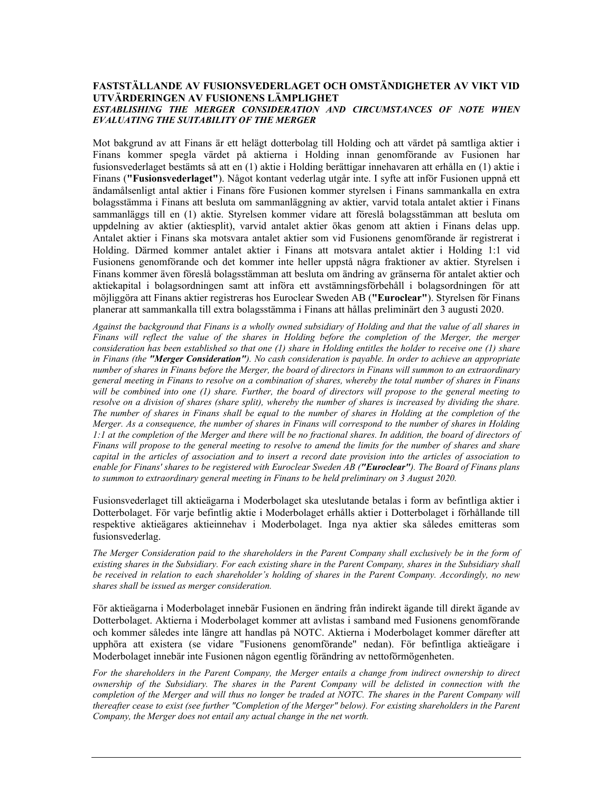# **FASTSTÄLLANDE AV FUSIONSVEDERLAGET OCH OMSTÄNDIGHETER AV VIKT VID UTVÄRDERINGEN AV FUSIONENS LÄMPLIGHET**  *ESTABLISHING THE MERGER CONSIDERATION AND CIRCUMSTANCES OF NOTE WHEN EVALUATING THE SUITABILITY OF THE MERGER*

Mot bakgrund av att Finans är ett helägt dotterbolag till Holding och att värdet på samtliga aktier i Finans kommer spegla värdet på aktierna i Holding innan genomförande av Fusionen har fusionsvederlaget bestämts så att en (1) aktie i Holding berättigar innehavaren att erhålla en (1) aktie i Finans (**"Fusionsvederlaget"**). Något kontant vederlag utgår inte. I syfte att inför Fusionen uppnå ett ändamålsenligt antal aktier i Finans före Fusionen kommer styrelsen i Finans sammankalla en extra bolagsstämma i Finans att besluta om sammanläggning av aktier, varvid totala antalet aktier i Finans sammanläggs till en (1) aktie. Styrelsen kommer vidare att föreslå bolagsstämman att besluta om uppdelning av aktier (aktiesplit), varvid antalet aktier ökas genom att aktien i Finans delas upp. Antalet aktier i Finans ska motsvara antalet aktier som vid Fusionens genomförande är registrerat i Holding. Därmed kommer antalet aktier i Finans att motsvara antalet aktier i Holding 1:1 vid Fusionens genomförande och det kommer inte heller uppstå några fraktioner av aktier. Styrelsen i Finans kommer även föreslå bolagsstämman att besluta om ändring av gränserna för antalet aktier och aktiekapital i bolagsordningen samt att införa ett avstämningsförbehåll i bolagsordningen för att möjliggöra att Finans aktier registreras hos Euroclear Sweden AB (**"Euroclear"**). Styrelsen för Finans planerar att sammankalla till extra bolagsstämma i Finans att hållas preliminärt den 3 augusti 2020.

*Against the background that Finans is a wholly owned subsidiary of Holding and that the value of all shares in Finans will reflect the value of the shares in Holding before the completion of the Merger, the merger consideration has been established so that one (1) share in Holding entitles the holder to receive one (1) share in Finans (the "Merger Consideration"). No cash consideration is payable. In order to achieve an appropriate number of shares in Finans before the Merger, the board of directors in Finans will summon to an extraordinary general meeting in Finans to resolve on a combination of shares, whereby the total number of shares in Finans will be combined into one (1) share. Further, the board of directors will propose to the general meeting to resolve on a division of shares (share split), whereby the number of shares is increased by dividing the share. The number of shares in Finans shall be equal to the number of shares in Holding at the completion of the Merger. As a consequence, the number of shares in Finans will correspond to the number of shares in Holding 1:1 at the completion of the Merger and there will be no fractional shares. In addition, the board of directors of Finans will propose to the general meeting to resolve to amend the limits for the number of shares and share capital in the articles of association and to insert a record date provision into the articles of association to enable for Finans' shares to be registered with Euroclear Sweden AB ("Euroclear"). The Board of Finans plans to summon to extraordinary general meeting in Finans to be held preliminary on 3 August 2020.* 

Fusionsvederlaget till aktieägarna i Moderbolaget ska uteslutande betalas i form av befintliga aktier i Dotterbolaget. För varje befintlig aktie i Moderbolaget erhålls aktier i Dotterbolaget i förhållande till respektive aktieägares aktieinnehav i Moderbolaget. Inga nya aktier ska således emitteras som fusionsvederlag.

*The Merger Consideration paid to the shareholders in the Parent Company shall exclusively be in the form of existing shares in the Subsidiary. For each existing share in the Parent Company, shares in the Subsidiary shall be received in relation to each shareholder's holding of shares in the Parent Company. Accordingly, no new shares shall be issued as merger consideration.* 

För aktieägarna i Moderbolaget innebär Fusionen en ändring från indirekt ägande till direkt ägande av Dotterbolaget. Aktierna i Moderbolaget kommer att avlistas i samband med Fusionens genomförande och kommer således inte längre att handlas på NOTC. Aktierna i Moderbolaget kommer därefter att upphöra att existera (se vidare "Fusionens genomförande" nedan). För befintliga aktieägare i Moderbolaget innebär inte Fusionen någon egentlig förändring av nettoförmögenheten.

*For the shareholders in the Parent Company, the Merger entails a change from indirect ownership to direct ownership of the Subsidiary. The shares in the Parent Company will be delisted in connection with the completion of the Merger and will thus no longer be traded at NOTC. The shares in the Parent Company will thereafter cease to exist (see further "Completion of the Merger" below). For existing shareholders in the Parent Company, the Merger does not entail any actual change in the net worth.*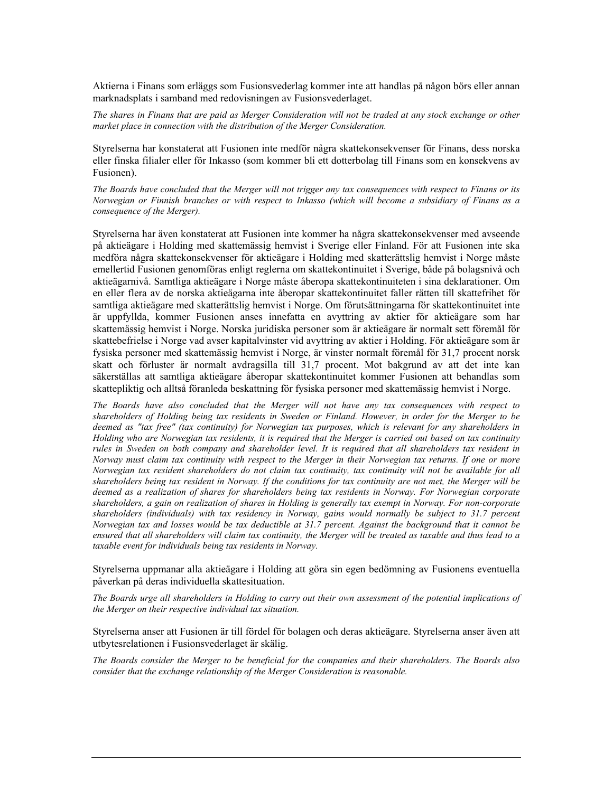Aktierna i Finans som erläggs som Fusionsvederlag kommer inte att handlas på någon börs eller annan marknadsplats i samband med redovisningen av Fusionsvederlaget.

*The shares in Finans that are paid as Merger Consideration will not be traded at any stock exchange or other market place in connection with the distribution of the Merger Consideration.* 

Styrelserna har konstaterat att Fusionen inte medför några skattekonsekvenser för Finans, dess norska eller finska filialer eller för Inkasso (som kommer bli ett dotterbolag till Finans som en konsekvens av Fusionen).

*The Boards have concluded that the Merger will not trigger any tax consequences with respect to Finans or its Norwegian or Finnish branches or with respect to Inkasso (which will become a subsidiary of Finans as a consequence of the Merger).* 

Styrelserna har även konstaterat att Fusionen inte kommer ha några skattekonsekvenser med avseende på aktieägare i Holding med skattemässig hemvist i Sverige eller Finland. För att Fusionen inte ska medföra några skattekonsekvenser för aktieägare i Holding med skatterättslig hemvist i Norge måste emellertid Fusionen genomföras enligt reglerna om skattekontinuitet i Sverige, både på bolagsnivå och aktieägarnivå. Samtliga aktieägare i Norge måste åberopa skattekontinuiteten i sina deklarationer. Om en eller flera av de norska aktieägarna inte åberopar skattekontinuitet faller rätten till skattefrihet för samtliga aktieägare med skatterättslig hemvist i Norge. Om förutsättningarna för skattekontinuitet inte är uppfyllda, kommer Fusionen anses innefatta en avyttring av aktier för aktieägare som har skattemässig hemvist i Norge. Norska juridiska personer som är aktieägare är normalt sett föremål för skattebefrielse i Norge vad avser kapitalvinster vid avyttring av aktier i Holding. För aktieägare som är fysiska personer med skattemässig hemvist i Norge, är vinster normalt föremål för 31,7 procent norsk skatt och förluster är normalt avdragsilla till 31,7 procent. Mot bakgrund av att det inte kan säkerställas att samtliga aktieägare åberopar skattekontinuitet kommer Fusionen att behandlas som skattepliktig och alltså föranleda beskattning för fysiska personer med skattemässig hemvist i Norge.

*The Boards have also concluded that the Merger will not have any tax consequences with respect to shareholders of Holding being tax residents in Sweden or Finland. However, in order for the Merger to be deemed as "tax free" (tax continuity) for Norwegian tax purposes, which is relevant for any shareholders in Holding who are Norwegian tax residents, it is required that the Merger is carried out based on tax continuity rules in Sweden on both company and shareholder level. It is required that all shareholders tax resident in Norway must claim tax continuity with respect to the Merger in their Norwegian tax returns. If one or more Norwegian tax resident shareholders do not claim tax continuity, tax continuity will not be available for all shareholders being tax resident in Norway. If the conditions for tax continuity are not met, the Merger will be deemed as a realization of shares for shareholders being tax residents in Norway. For Norwegian corporate shareholders, a gain on realization of shares in Holding is generally tax exempt in Norway. For non-corporate shareholders (individuals) with tax residency in Norway, gains would normally be subject to 31.7 percent Norwegian tax and losses would be tax deductible at 31.7 percent. Against the background that it cannot be ensured that all shareholders will claim tax continuity, the Merger will be treated as taxable and thus lead to a taxable event for individuals being tax residents in Norway.* 

Styrelserna uppmanar alla aktieägare i Holding att göra sin egen bedömning av Fusionens eventuella påverkan på deras individuella skattesituation.

*The Boards urge all shareholders in Holding to carry out their own assessment of the potential implications of the Merger on their respective individual tax situation.* 

Styrelserna anser att Fusionen är till fördel för bolagen och deras aktieägare. Styrelserna anser även att utbytesrelationen i Fusionsvederlaget är skälig.

*The Boards consider the Merger to be beneficial for the companies and their shareholders. The Boards also consider that the exchange relationship of the Merger Consideration is reasonable.*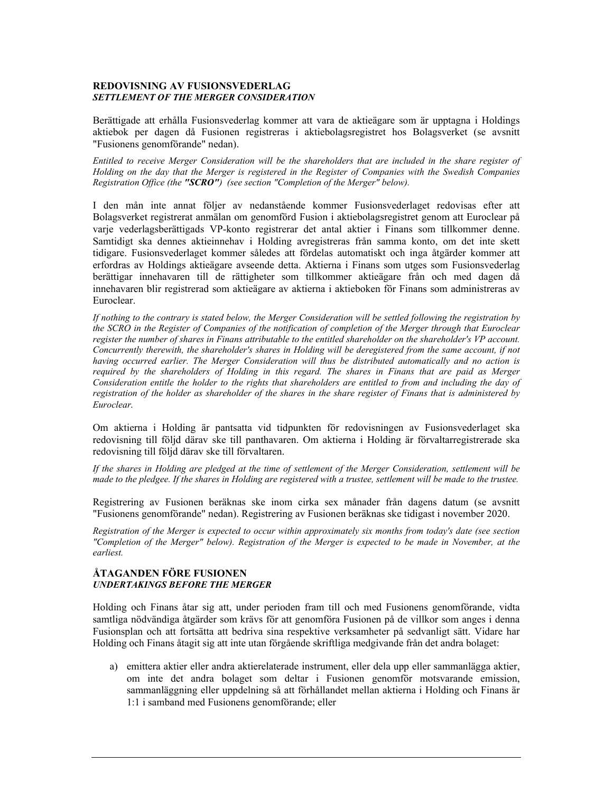#### **REDOVISNING AV FUSIONSVEDERLAG**  *SETTLEMENT OF THE MERGER CONSIDERATION*

Berättigade att erhålla Fusionsvederlag kommer att vara de aktieägare som är upptagna i Holdings aktiebok per dagen då Fusionen registreras i aktiebolagsregistret hos Bolagsverket (se avsnitt "Fusionens genomförande" nedan).

*Entitled to receive Merger Consideration will be the shareholders that are included in the share register of Holding on the day that the Merger is registered in the Register of Companies with the Swedish Companies Registration Office (the "SCRO") (see section "Completion of the Merger" below).* 

I den mån inte annat följer av nedanstående kommer Fusionsvederlaget redovisas efter att Bolagsverket registrerat anmälan om genomförd Fusion i aktiebolagsregistret genom att Euroclear på varje vederlagsberättigads VP-konto registrerar det antal aktier i Finans som tillkommer denne. Samtidigt ska dennes aktieinnehav i Holding avregistreras från samma konto, om det inte skett tidigare. Fusionsvederlaget kommer således att fördelas automatiskt och inga åtgärder kommer att erfordras av Holdings aktieägare avseende detta. Aktierna i Finans som utges som Fusionsvederlag berättigar innehavaren till de rättigheter som tillkommer aktieägare från och med dagen då innehavaren blir registrerad som aktieägare av aktierna i aktieboken för Finans som administreras av Euroclear.

*If nothing to the contrary is stated below, the Merger Consideration will be settled following the registration by the SCRO in the Register of Companies of the notification of completion of the Merger through that Euroclear register the number of shares in Finans attributable to the entitled shareholder on the shareholder's VP account. Concurrently therewith, the shareholder's shares in Holding will be deregistered from the same account, if not having occurred earlier. The Merger Consideration will thus be distributed automatically and no action is required by the shareholders of Holding in this regard. The shares in Finans that are paid as Merger Consideration entitle the holder to the rights that shareholders are entitled to from and including the day of registration of the holder as shareholder of the shares in the share register of Finans that is administered by Euroclear.* 

Om aktierna i Holding är pantsatta vid tidpunkten för redovisningen av Fusionsvederlaget ska redovisning till följd därav ske till panthavaren. Om aktierna i Holding är förvaltarregistrerade ska redovisning till följd därav ske till förvaltaren.

*If the shares in Holding are pledged at the time of settlement of the Merger Consideration, settlement will be made to the pledgee. If the shares in Holding are registered with a trustee, settlement will be made to the trustee.* 

Registrering av Fusionen beräknas ske inom cirka sex månader från dagens datum (se avsnitt "Fusionens genomförande" nedan). Registrering av Fusionen beräknas ske tidigast i november 2020.

*Registration of the Merger is expected to occur within approximately six months from today's date (see section "Completion of the Merger" below). Registration of the Merger is expected to be made in November, at the earliest.* 

## **ÅTAGANDEN FÖRE FUSIONEN**  *UNDERTAKINGS BEFORE THE MERGER*

Holding och Finans åtar sig att, under perioden fram till och med Fusionens genomförande, vidta samtliga nödvändiga åtgärder som krävs för att genomföra Fusionen på de villkor som anges i denna Fusionsplan och att fortsätta att bedriva sina respektive verksamheter på sedvanligt sätt. Vidare har Holding och Finans åtagit sig att inte utan förgående skriftliga medgivande från det andra bolaget:

a) emittera aktier eller andra aktierelaterade instrument, eller dela upp eller sammanlägga aktier, om inte det andra bolaget som deltar i Fusionen genomför motsvarande emission, sammanläggning eller uppdelning så att förhållandet mellan aktierna i Holding och Finans är 1:1 i samband med Fusionens genomförande; eller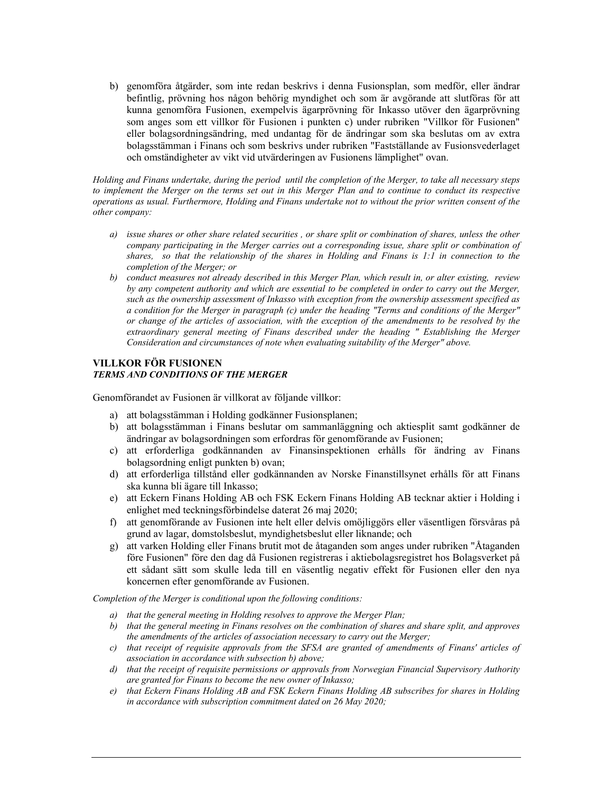b) genomföra åtgärder, som inte redan beskrivs i denna Fusionsplan, som medför, eller ändrar befintlig, prövning hos någon behörig myndighet och som är avgörande att slutföras för att kunna genomföra Fusionen, exempelvis ägarprövning för Inkasso utöver den ägarprövning som anges som ett villkor för Fusionen i punkten c) under rubriken "Villkor för Fusionen" eller bolagsordningsändring, med undantag för de ändringar som ska beslutas om av extra bolagsstämman i Finans och som beskrivs under rubriken "Fastställande av Fusionsvederlaget och omständigheter av vikt vid utvärderingen av Fusionens lämplighet" ovan.

*Holding and Finans undertake, during the period until the completion of the Merger, to take all necessary steps to implement the Merger on the terms set out in this Merger Plan and to continue to conduct its respective operations as usual. Furthermore, Holding and Finans undertake not to without the prior written consent of the other company:* 

- *a) issue shares or other share related securities , or share split or combination of shares, unless the other company participating in the Merger carries out a corresponding issue, share split or combination of shares, so that the relationship of the shares in Holding and Finans is 1:1 in connection to the completion of the Merger; or*
- *b) conduct measures not already described in this Merger Plan, which result in, or alter existing, review by any competent authority and which are essential to be completed in order to carry out the Merger, such as the ownership assessment of Inkasso with exception from the ownership assessment specified as a condition for the Merger in paragraph (c) under the heading "Terms and conditions of the Merger" or change of the articles of association, with the exception of the amendments to be resolved by the extraordinary general meeting of Finans described under the heading " Establishing the Merger Consideration and circumstances of note when evaluating suitability of the Merger" above.*

# **VILLKOR FÖR FUSIONEN**  *TERMS AND CONDITIONS OF THE MERGER*

Genomförandet av Fusionen är villkorat av följande villkor:

- a) att bolagsstämman i Holding godkänner Fusionsplanen;
- b) att bolagsstämman i Finans beslutar om sammanläggning och aktiesplit samt godkänner de ändringar av bolagsordningen som erfordras för genomförande av Fusionen;
- c) att erforderliga godkännanden av Finansinspektionen erhålls för ändring av Finans bolagsordning enligt punkten b) ovan;
- d) att erforderliga tillstånd eller godkännanden av Norske Finanstillsynet erhålls för att Finans ska kunna bli ägare till Inkasso;
- e) att Eckern Finans Holding AB och FSK Eckern Finans Holding AB tecknar aktier i Holding i enlighet med teckningsförbindelse daterat 26 maj 2020;
- f) att genomförande av Fusionen inte helt eller delvis omöjliggörs eller väsentligen försvåras på grund av lagar, domstolsbeslut, myndighetsbeslut eller liknande; och
- g) att varken Holding eller Finans brutit mot de åtaganden som anges under rubriken "Åtaganden före Fusionen" före den dag då Fusionen registreras i aktiebolagsregistret hos Bolagsverket på ett sådant sätt som skulle leda till en väsentlig negativ effekt för Fusionen eller den nya koncernen efter genomförande av Fusionen.

*Completion of the Merger is conditional upon the following conditions:* 

- *a) that the general meeting in Holding resolves to approve the Merger Plan;*
- *b) that the general meeting in Finans resolves on the combination of shares and share split, and approves the amendments of the articles of association necessary to carry out the Merger;*
- *c) that receipt of requisite approvals from the SFSA are granted of amendments of Finans' articles of association in accordance with subsection b) above;*
- *d) that the receipt of requisite permissions or approvals from Norwegian Financial Supervisory Authority are granted for Finans to become the new owner of Inkasso;*
- *e) that Eckern Finans Holding AB and FSK Eckern Finans Holding AB subscribes for shares in Holding in accordance with subscription commitment dated on 26 May 2020;*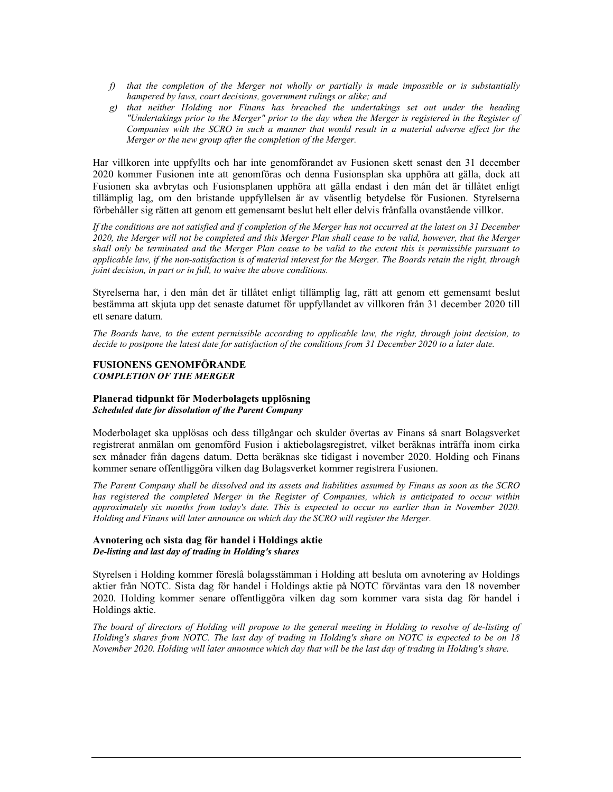- *f) that the completion of the Merger not wholly or partially is made impossible or is substantially hampered by laws, court decisions, government rulings or alike; and*
- *g) that neither Holding nor Finans has breached the undertakings set out under the heading "Undertakings prior to the Merger" prior to the day when the Merger is registered in the Register of Companies with the SCRO in such a manner that would result in a material adverse effect for the Merger or the new group after the completion of the Merger.*

Har villkoren inte uppfyllts och har inte genomförandet av Fusionen skett senast den 31 december 2020 kommer Fusionen inte att genomföras och denna Fusionsplan ska upphöra att gälla, dock att Fusionen ska avbrytas och Fusionsplanen upphöra att gälla endast i den mån det är tillåtet enligt tillämplig lag, om den bristande uppfyllelsen är av väsentlig betydelse för Fusionen. Styrelserna förbehåller sig rätten att genom ett gemensamt beslut helt eller delvis frånfalla ovanstående villkor.

*If the conditions are not satisfied and if completion of the Merger has not occurred at the latest on 31 December 2020, the Merger will not be completed and this Merger Plan shall cease to be valid, however, that the Merger shall only be terminated and the Merger Plan cease to be valid to the extent this is permissible pursuant to applicable law, if the non-satisfaction is of material interest for the Merger. The Boards retain the right, through joint decision, in part or in full, to waive the above conditions.* 

Styrelserna har, i den mån det är tillåtet enligt tillämplig lag, rätt att genom ett gemensamt beslut bestämma att skjuta upp det senaste datumet för uppfyllandet av villkoren från 31 december 2020 till ett senare datum.

*The Boards have, to the extent permissible according to applicable law, the right, through joint decision, to decide to postpone the latest date for satisfaction of the conditions from 31 December 2020 to a later date.* 

### **FUSIONENS GENOMFÖRANDE**  *COMPLETION OF THE MERGER*

#### **Planerad tidpunkt för Moderbolagets upplösning**  *Scheduled date for dissolution of the Parent Company*

Moderbolaget ska upplösas och dess tillgångar och skulder övertas av Finans så snart Bolagsverket registrerat anmälan om genomförd Fusion i aktiebolagsregistret, vilket beräknas inträffa inom cirka sex månader från dagens datum. Detta beräknas ske tidigast i november 2020. Holding och Finans kommer senare offentliggöra vilken dag Bolagsverket kommer registrera Fusionen.

*The Parent Company shall be dissolved and its assets and liabilities assumed by Finans as soon as the SCRO has registered the completed Merger in the Register of Companies, which is anticipated to occur within approximately six months from today's date. This is expected to occur no earlier than in November 2020. Holding and Finans will later announce on which day the SCRO will register the Merger.* 

### **Avnotering och sista dag för handel i Holdings aktie**  *De-listing and last day of trading in Holding's shares*

Styrelsen i Holding kommer föreslå bolagsstämman i Holding att besluta om avnotering av Holdings aktier från NOTC. Sista dag för handel i Holdings aktie på NOTC förväntas vara den 18 november 2020. Holding kommer senare offentliggöra vilken dag som kommer vara sista dag för handel i Holdings aktie.

*The board of directors of Holding will propose to the general meeting in Holding to resolve of de-listing of Holding's shares from NOTC. The last day of trading in Holding's share on NOTC is expected to be on 18 November 2020. Holding will later announce which day that will be the last day of trading in Holding's share.*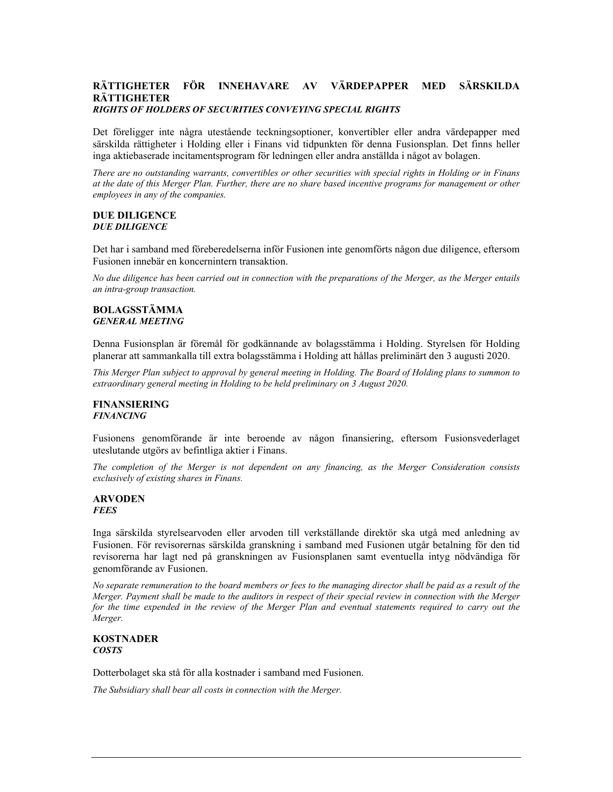#### **RÄTTIGHETER FÖR INNEHAVARE AV VÄRDEPAPPER MED SÄRSKILDA RÄTTIGHETER**  *RIGHTS OF HOLDERS OF SECURITIES CONVEYING SPECIAL RIGHTS*

Det föreligger inte några utestående teckningsoptioner, konvertibler eller andra värdepapper med särskilda rättigheter i Holding eller i Finans vid tidpunkten för denna Fusionsplan. Det finns heller inga aktiebaserade incitamentsprogram för ledningen eller andra anställda i något av bolagen.

*There are no outstanding warrants, convertibles or other securities with special rights in Holding or in Finans at the date of this Merger Plan. Further, there are no share based incentive programs for management or other employees in any of the companies.* 

# **DUE DILIGENCE**  *DUE DILIGENCE*

Det har i samband med föreberedelserna inför Fusionen inte genomförts någon due diligence, eftersom Fusionen innebär en koncernintern transaktion.

*No due diligence has been carried out in connection with the preparations of the Merger, as the Merger entails an intra-group transaction.* 

#### **BOLAGSSTÄMMA**  *GENERAL MEETING*

Denna Fusionsplan är föremål för godkännande av bolagsstämma i Holding. Styrelsen för Holding planerar att sammankalla till extra bolagsstämma i Holding att hållas preliminärt den 3 augusti 2020.

*This Merger Plan subject to approval by general meeting in Holding. The Board of Holding plans to summon to extraordinary general meeting in Holding to be held preliminary on 3 August 2020.* 

#### **FINANSIERING**  *FINANCING*

Fusionens genomförande är inte beroende av någon finansiering, eftersom Fusionsvederlaget uteslutande utgörs av befintliga aktier i Finans.

*The completion of the Merger is not dependent on any financing, as the Merger Consideration consists exclusively of existing shares in Finans.* 

#### **ARVODEN**  *FEES*

Inga särskilda styrelsearvoden eller arvoden till verkställande direktör ska utgå med anledning av Fusionen. För revisorernas särskilda granskning i samband med Fusionen utgår betalning för den tid revisorerna har lagt ned på granskningen av Fusionsplanen samt eventuella intyg nödvändiga för genomförande av Fusionen.

*No separate remuneration to the board members or fees to the managing director shall be paid as a result of the Merger. Payment shall be made to the auditors in respect of their special review in connection with the Merger for the time expended in the review of the Merger Plan and eventual statements required to carry out the Merger.* 

### **KOSTNADER**  *COSTS*

Dotterbolaget ska stå för alla kostnader i samband med Fusionen.

*The Subsidiary shall bear all costs in connection with the Merger.*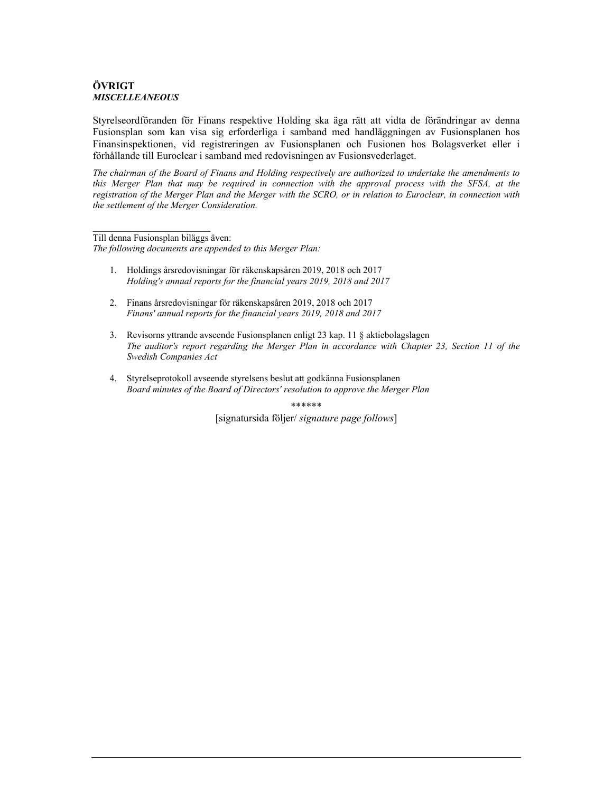# **ÖVRIGT**  *MISCELLEANEOUS*

Styrelseordföranden för Finans respektive Holding ska äga rätt att vidta de förändringar av denna Fusionsplan som kan visa sig erforderliga i samband med handläggningen av Fusionsplanen hos Finansinspektionen, vid registreringen av Fusionsplanen och Fusionen hos Bolagsverket eller i förhållande till Euroclear i samband med redovisningen av Fusionsvederlaget.

*The chairman of the Board of Finans and Holding respectively are authorized to undertake the amendments to this Merger Plan that may be required in connection with the approval process with the SFSA, at the registration of the Merger Plan and the Merger with the SCRO, or in relation to Euroclear, in connection with the settlement of the Merger Consideration.* 

Till denna Fusionsplan biläggs även:

*The following documents are appended to this Merger Plan:* 

- 1. Holdings årsredovisningar för räkenskapsåren 2019, 2018 och 2017 *Holding's annual reports for the financial years 2019, 2018 and 2017*
- 2. Finans årsredovisningar för räkenskapsåren 2019, 2018 och 2017 *Finans' annual reports for the financial years 2019, 2018 and 2017*
- 3. Revisorns yttrande avseende Fusionsplanen enligt 23 kap. 11 § aktiebolagslagen *The auditor's report regarding the Merger Plan in accordance with Chapter 23, Section 11 of the Swedish Companies Act*
- 4. Styrelseprotokoll avseende styrelsens beslut att godkänna Fusionsplanen *Board minutes of the Board of Directors' resolution to approve the Merger Plan*

\*\*\*\*\*\*

[signatursida följer/ *signature page follows*]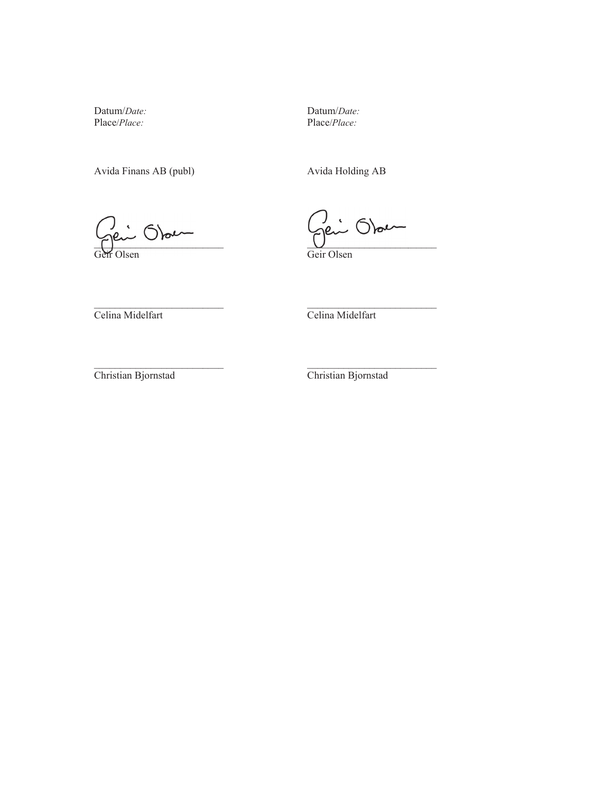Datum/*Date:* Place/*Place:* 

Avida Finans AB (publ) Avida Holding AB

Datum/*Date:* Place/*Place:* 

 $\sum_{i=1}^{n}$  $\Gamma$ 

Geir Olsen Olsen

 $\cup$ Geir Olsen

Celina Midelfart

Celina Midelfart

Christian Bjornstad

 $\mathcal{L}_\text{max}$  and  $\mathcal{L}_\text{max}$  and  $\mathcal{L}_\text{max}$ 

Christian Bjornstad

 $\mathcal{L}_\text{max}$  and  $\mathcal{L}_\text{max}$  and  $\mathcal{L}_\text{max}$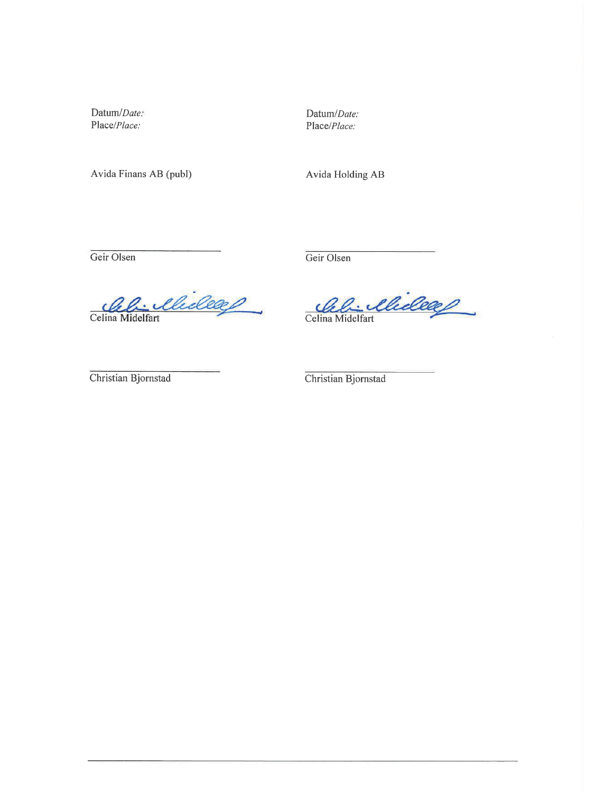Datum/Date: Place/Place:

Avida Finans AB (publ)

Datum/Date: Place/Place:

Avida Holding AB

Geir Olsen

Geir Olsen

Celina Midelfart

Celina Midelfart

Christian Bjornstad

Christian Bjornstad